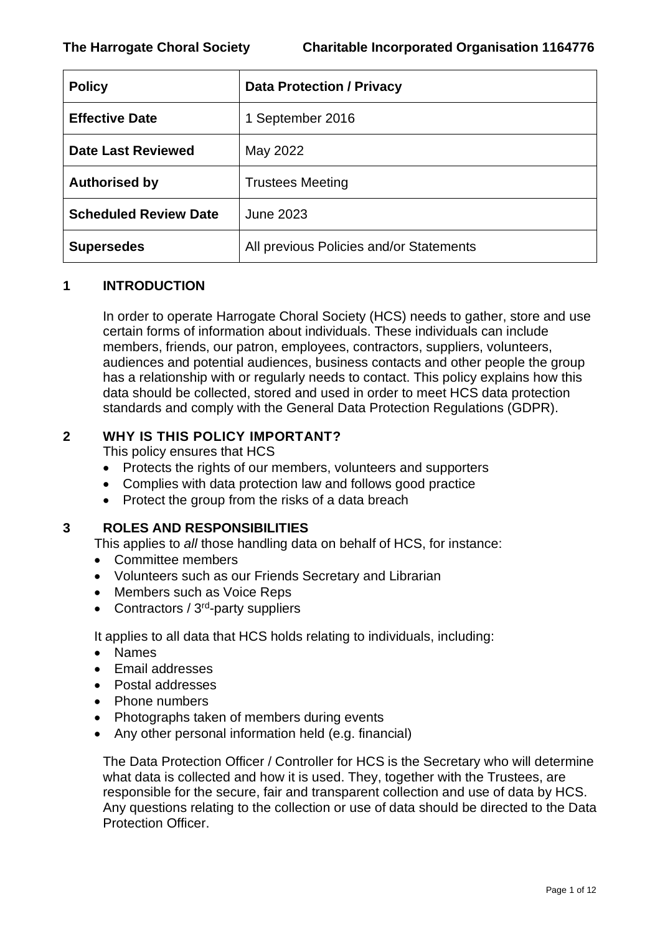| <b>Policy</b>                | <b>Data Protection / Privacy</b>        |
|------------------------------|-----------------------------------------|
| <b>Effective Date</b>        | 1 September 2016                        |
| <b>Date Last Reviewed</b>    | May 2022                                |
| <b>Authorised by</b>         | <b>Trustees Meeting</b>                 |
| <b>Scheduled Review Date</b> | <b>June 2023</b>                        |
| <b>Supersedes</b>            | All previous Policies and/or Statements |

## **1 INTRODUCTION**

In order to operate Harrogate Choral Society (HCS) needs to gather, store and use certain forms of information about individuals. These individuals can include members, friends, our patron, employees, contractors, suppliers, volunteers, audiences and potential audiences, business contacts and other people the group has a relationship with or regularly needs to contact. This policy explains how this data should be collected, stored and used in order to meet HCS data protection standards and comply with the General Data Protection Regulations (GDPR).

## **2 WHY IS THIS POLICY IMPORTANT?**

This policy ensures that HCS

- Protects the rights of our members, volunteers and supporters
- Complies with data protection law and follows good practice
- Protect the group from the risks of a data breach

## **3 ROLES AND RESPONSIBILITIES**

This applies to *all* those handling data on behalf of HCS, for instance:

- Committee members
- Volunteers such as our Friends Secretary and Librarian
- Members such as Voice Reps
- Contractors / 3<sup>rd</sup>-party suppliers

It applies to all data that HCS holds relating to individuals, including:

- Names
- Email addresses
- Postal addresses
- Phone numbers
- Photographs taken of members during events
- Any other personal information held (e.g. financial)

The Data Protection Officer / Controller for HCS is the Secretary who will determine what data is collected and how it is used. They, together with the Trustees, are responsible for the secure, fair and transparent collection and use of data by HCS. Any questions relating to the collection or use of data should be directed to the Data Protection Officer.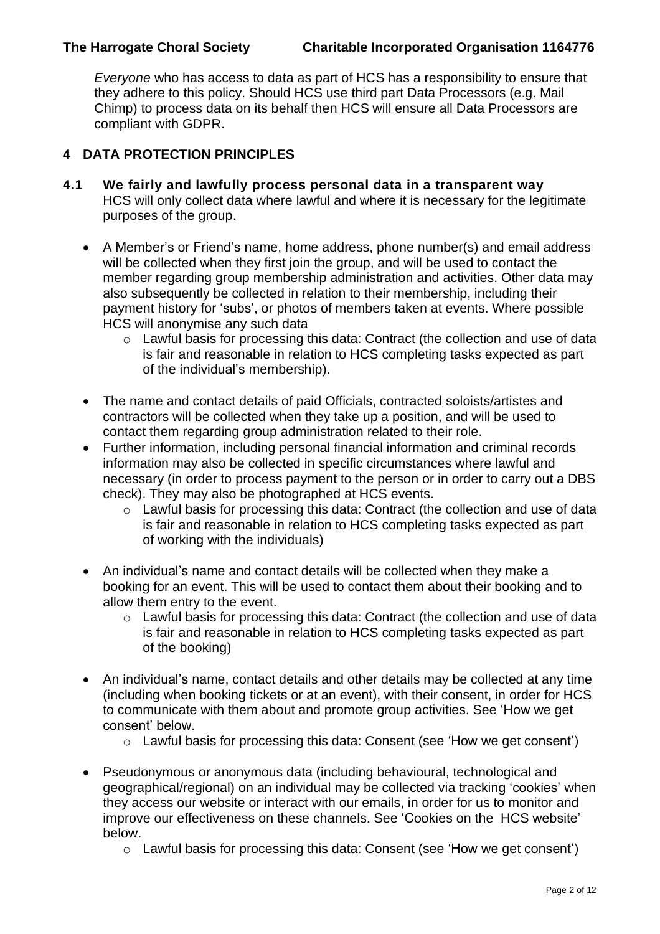*Everyone* who has access to data as part of HCS has a responsibility to ensure that they adhere to this policy. Should HCS use third part Data Processors (e.g. Mail Chimp) to process data on its behalf then HCS will ensure all Data Processors are compliant with GDPR.

# **4 DATA PROTECTION PRINCIPLES**

- **4.1 We fairly and lawfully process personal data in a transparent way** HCS will only collect data where lawful and where it is necessary for the legitimate purposes of the group.
	- A Member's or Friend's name, home address, phone number(s) and email address will be collected when they first join the group, and will be used to contact the member regarding group membership administration and activities. Other data may also subsequently be collected in relation to their membership, including their payment history for 'subs', or photos of members taken at events. Where possible HCS will anonymise any such data
		- o Lawful basis for processing this data: Contract (the collection and use of data is fair and reasonable in relation to HCS completing tasks expected as part of the individual's membership).
	- The name and contact details of paid Officials, contracted soloists/artistes and contractors will be collected when they take up a position, and will be used to contact them regarding group administration related to their role.
	- Further information, including personal financial information and criminal records information may also be collected in specific circumstances where lawful and necessary (in order to process payment to the person or in order to carry out a DBS check). They may also be photographed at HCS events.
		- o Lawful basis for processing this data: Contract (the collection and use of data is fair and reasonable in relation to HCS completing tasks expected as part of working with the individuals)
	- An individual's name and contact details will be collected when they make a booking for an event. This will be used to contact them about their booking and to allow them entry to the event.
		- o Lawful basis for processing this data: Contract (the collection and use of data is fair and reasonable in relation to HCS completing tasks expected as part of the booking)
	- An individual's name, contact details and other details may be collected at any time (including when booking tickets or at an event), with their consent, in order for HCS to communicate with them about and promote group activities. See 'How we get consent' below.
		- o Lawful basis for processing this data: Consent (see 'How we get consent')
	- Pseudonymous or anonymous data (including behavioural, technological and geographical/regional) on an individual may be collected via tracking 'cookies' when they access our website or interact with our emails, in order for us to monitor and improve our effectiveness on these channels. See 'Cookies on the HCS website' below.
		- o Lawful basis for processing this data: Consent (see 'How we get consent')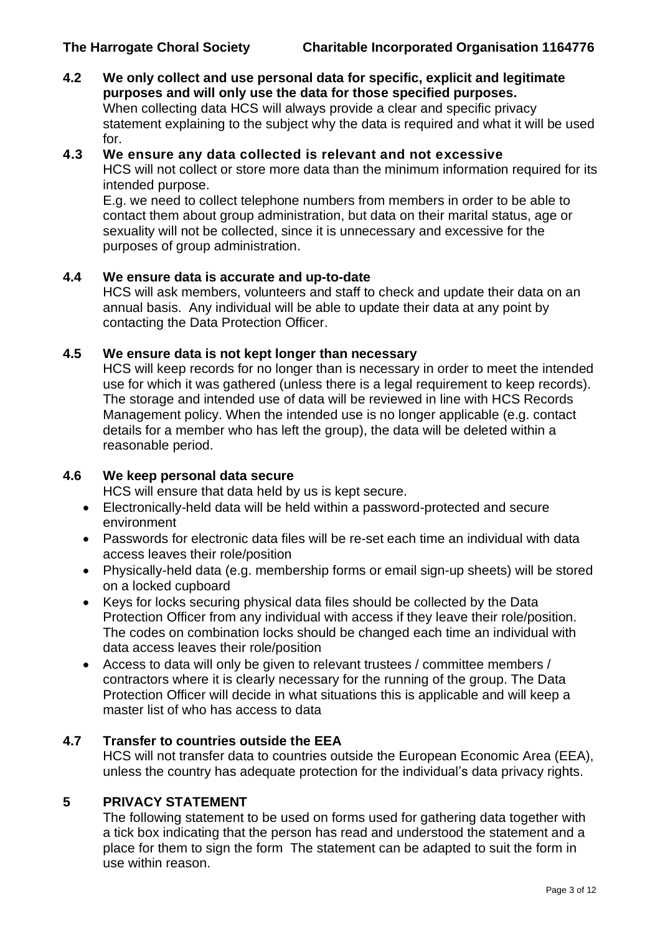**4.2 We only collect and use personal data for specific, explicit and legitimate purposes and will only use the data for those specified purposes.** When collecting data HCS will always provide a clear and specific privacy statement explaining to the subject why the data is required and what it will be used for.

#### **4.3 We ensure any data collected is relevant and not excessive**

HCS will not collect or store more data than the minimum information required for its intended purpose.

E.g. we need to collect telephone numbers from members in order to be able to contact them about group administration, but data on their marital status, age or sexuality will not be collected, since it is unnecessary and excessive for the purposes of group administration.

#### **4.4 We ensure data is accurate and up-to-date**

HCS will ask members, volunteers and staff to check and update their data on an annual basis. Any individual will be able to update their data at any point by contacting the Data Protection Officer.

#### **4.5 We ensure data is not kept longer than necessary**

HCS will keep records for no longer than is necessary in order to meet the intended use for which it was gathered (unless there is a legal requirement to keep records). The storage and intended use of data will be reviewed in line with HCS Records Management policy. When the intended use is no longer applicable (e.g. contact details for a member who has left the group), the data will be deleted within a reasonable period.

## **4.6 We keep personal data secure**

HCS will ensure that data held by us is kept secure.

- Electronically-held data will be held within a password-protected and secure environment
- Passwords for electronic data files will be re-set each time an individual with data access leaves their role/position
- Physically-held data (e.g. membership forms or email sign-up sheets) will be stored on a locked cupboard
- Keys for locks securing physical data files should be collected by the Data Protection Officer from any individual with access if they leave their role/position. The codes on combination locks should be changed each time an individual with data access leaves their role/position
- Access to data will only be given to relevant trustees / committee members / contractors where it is clearly necessary for the running of the group. The Data Protection Officer will decide in what situations this is applicable and will keep a master list of who has access to data

## **4.7 Transfer to countries outside the EEA**

HCS will not transfer data to countries outside the European Economic Area (EEA), unless the country has adequate protection for the individual's data privacy rights.

## **5 PRIVACY STATEMENT**

The following statement to be used on forms used for gathering data together with a tick box indicating that the person has read and understood the statement and a place for them to sign the form The statement can be adapted to suit the form in use within reason.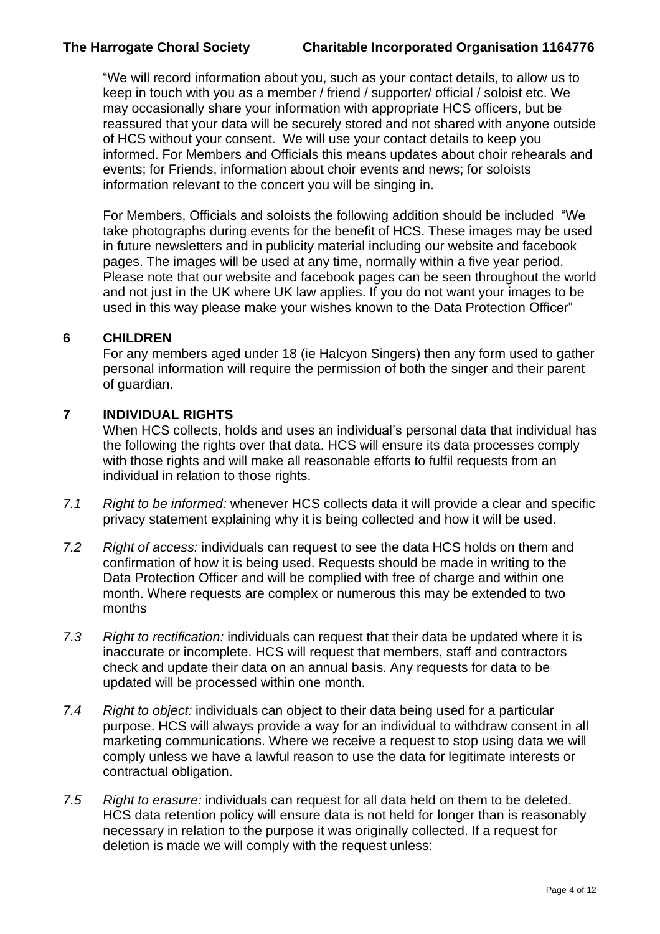"We will record information about you, such as your contact details, to allow us to keep in touch with you as a member / friend / supporter/ official / soloist etc. We may occasionally share your information with appropriate HCS officers, but be reassured that your data will be securely stored and not shared with anyone outside of HCS without your consent. We will use your contact details to keep you informed. For Members and Officials this means updates about choir rehearals and events; for Friends, information about choir events and news; for soloists information relevant to the concert you will be singing in.

For Members, Officials and soloists the following addition should be included "We take photographs during events for the benefit of HCS. These images may be used in future newsletters and in publicity material including our website and facebook pages. The images will be used at any time, normally within a five year period. Please note that our website and facebook pages can be seen throughout the world and not just in the UK where UK law applies. If you do not want your images to be used in this way please make your wishes known to the Data Protection Officer"

## **6 CHILDREN**

For any members aged under 18 (ie Halcyon Singers) then any form used to gather personal information will require the permission of both the singer and their parent of guardian.

## **7 INDIVIDUAL RIGHTS**

When HCS collects, holds and uses an individual's personal data that individual has the following the rights over that data. HCS will ensure its data processes comply with those rights and will make all reasonable efforts to fulfil requests from an individual in relation to those rights.

- *7.1 Right to be informed:* whenever HCS collects data it will provide a clear and specific privacy statement explaining why it is being collected and how it will be used.
- *7.2 Right of access:* individuals can request to see the data HCS holds on them and confirmation of how it is being used. Requests should be made in writing to the Data Protection Officer and will be complied with free of charge and within one month. Where requests are complex or numerous this may be extended to two months
- *7.3 Right to rectification:* individuals can request that their data be updated where it is inaccurate or incomplete. HCS will request that members, staff and contractors check and update their data on an annual basis. Any requests for data to be updated will be processed within one month.
- *7.4 Right to object:* individuals can object to their data being used for a particular purpose. HCS will always provide a way for an individual to withdraw consent in all marketing communications. Where we receive a request to stop using data we will comply unless we have a lawful reason to use the data for legitimate interests or contractual obligation.
- *7.5 Right to erasure:* individuals can request for all data held on them to be deleted. HCS data retention policy will ensure data is not held for longer than is reasonably necessary in relation to the purpose it was originally collected. If a request for deletion is made we will comply with the request unless: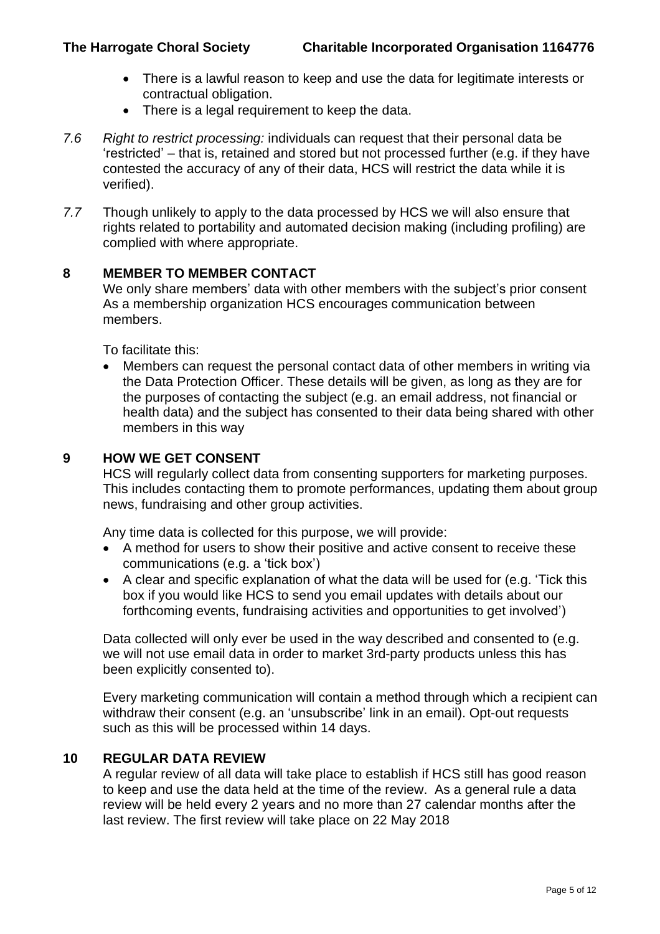- There is a lawful reason to keep and use the data for legitimate interests or contractual obligation.
- There is a legal requirement to keep the data.
- *7.6 Right to restrict processing:* individuals can request that their personal data be 'restricted' – that is, retained and stored but not processed further (e.g. if they have contested the accuracy of any of their data, HCS will restrict the data while it is verified).
- *7.7* Though unlikely to apply to the data processed by HCS we will also ensure that rights related to portability and automated decision making (including profiling) are complied with where appropriate.

## **8 MEMBER TO MEMBER CONTACT**

We only share members' data with other members with the subject's prior consent As a membership organization HCS encourages communication between members.

To facilitate this:

• Members can request the personal contact data of other members in writing via the Data Protection Officer. These details will be given, as long as they are for the purposes of contacting the subject (e.g. an email address, not financial or health data) and the subject has consented to their data being shared with other members in this way

## **9 HOW WE GET CONSENT**

HCS will regularly collect data from consenting supporters for marketing purposes. This includes contacting them to promote performances, updating them about group news, fundraising and other group activities.

Any time data is collected for this purpose, we will provide:

- A method for users to show their positive and active consent to receive these communications (e.g. a 'tick box')
- A clear and specific explanation of what the data will be used for (e.g. 'Tick this box if you would like HCS to send you email updates with details about our forthcoming events, fundraising activities and opportunities to get involved')

Data collected will only ever be used in the way described and consented to (e.g. we will not use email data in order to market 3rd-party products unless this has been explicitly consented to).

Every marketing communication will contain a method through which a recipient can withdraw their consent (e.g. an 'unsubscribe' link in an email). Opt-out requests such as this will be processed within 14 days.

## **10 REGULAR DATA REVIEW**

A regular review of all data will take place to establish if HCS still has good reason to keep and use the data held at the time of the review. As a general rule a data review will be held every 2 years and no more than 27 calendar months after the last review. The first review will take place on 22 May 2018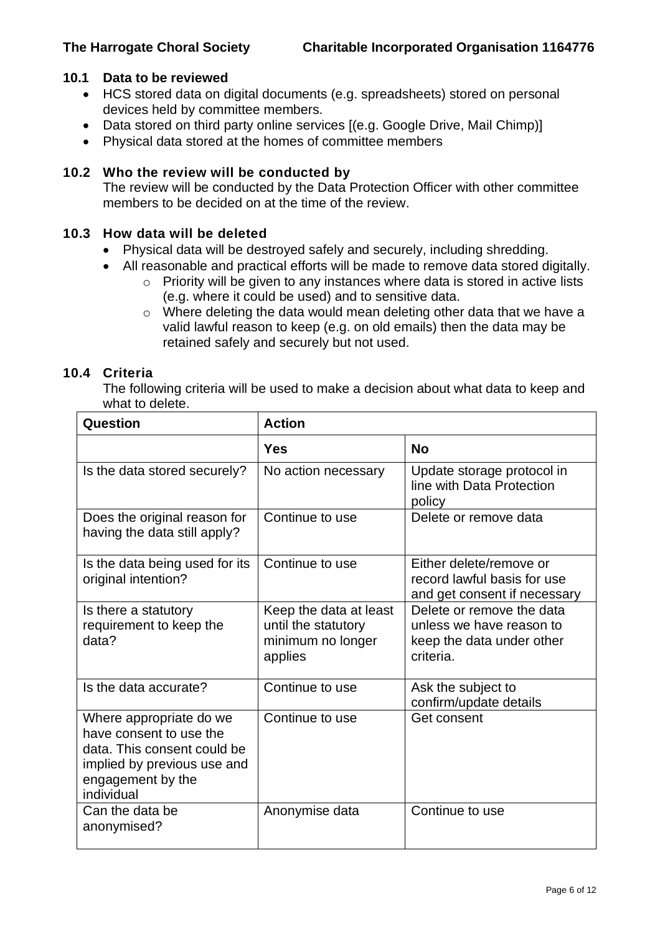## **10.1 Data to be reviewed**

- HCS stored data on digital documents (e.g. spreadsheets) stored on personal devices held by committee members.
- Data stored on third party online services [(e.g. Google Drive, Mail Chimp)]
- Physical data stored at the homes of committee members

## **10.2 Who the review will be conducted by**

The review will be conducted by the Data Protection Officer with other committee members to be decided on at the time of the review

#### **10.3 How data will be deleted**

- Physical data will be destroyed safely and securely, including shredding.
- All reasonable and practical efforts will be made to remove data stored digitally.
	- o Priority will be given to any instances where data is stored in active lists (e.g. where it could be used) and to sensitive data.
	- o Where deleting the data would mean deleting other data that we have a valid lawful reason to keep (e.g. on old emails) then the data may be retained safely and securely but not used.

#### **10.4 Criteria**

The following criteria will be used to make a decision about what data to keep and what to delete.

| <b>Question</b>                                                                                                                                     | <b>Action</b>                                                                 |                                                                                                 |
|-----------------------------------------------------------------------------------------------------------------------------------------------------|-------------------------------------------------------------------------------|-------------------------------------------------------------------------------------------------|
|                                                                                                                                                     | <b>Yes</b>                                                                    | <b>No</b>                                                                                       |
| Is the data stored securely?                                                                                                                        | No action necessary                                                           | Update storage protocol in<br>line with Data Protection<br>policy                               |
| Does the original reason for<br>having the data still apply?                                                                                        | Continue to use                                                               | Delete or remove data                                                                           |
| Is the data being used for its<br>original intention?                                                                                               | Continue to use                                                               | Either delete/remove or<br>record lawful basis for use<br>and get consent if necessary          |
| Is there a statutory<br>requirement to keep the<br>data?                                                                                            | Keep the data at least<br>until the statutory<br>minimum no longer<br>applies | Delete or remove the data<br>unless we have reason to<br>keep the data under other<br>criteria. |
| Is the data accurate?                                                                                                                               | Continue to use                                                               | Ask the subject to<br>confirm/update details                                                    |
| Where appropriate do we<br>have consent to use the<br>data. This consent could be<br>implied by previous use and<br>engagement by the<br>individual | Continue to use                                                               | Get consent                                                                                     |
| Can the data be<br>anonymised?                                                                                                                      | Anonymise data                                                                | Continue to use                                                                                 |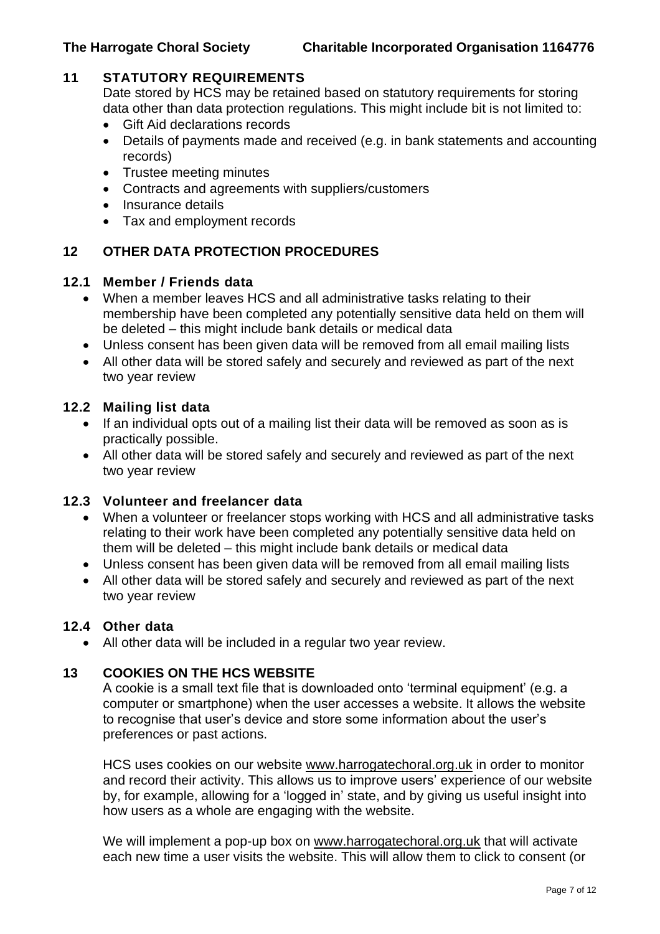## **11 STATUTORY REQUIREMENTS**

Date stored by HCS may be retained based on statutory requirements for storing data other than data protection regulations. This might include bit is not limited to:

- Gift Aid declarations records
- Details of payments made and received (e.g. in bank statements and accounting records)
- Trustee meeting minutes
- Contracts and agreements with suppliers/customers
- Insurance details
- Tax and employment records

## **12 OTHER DATA PROTECTION PROCEDURES**

## **12.1 Member / Friends data**

- When a member leaves HCS and all administrative tasks relating to their membership have been completed any potentially sensitive data held on them will be deleted – this might include bank details or medical data
- Unless consent has been given data will be removed from all email mailing lists
- All other data will be stored safely and securely and reviewed as part of the next two year review

## **12.2 Mailing list data**

- If an individual opts out of a mailing list their data will be removed as soon as is practically possible.
- All other data will be stored safely and securely and reviewed as part of the next two year review

## **12.3 Volunteer and freelancer data**

- When a volunteer or freelancer stops working with HCS and all administrative tasks relating to their work have been completed any potentially sensitive data held on them will be deleted – this might include bank details or medical data
- Unless consent has been given data will be removed from all email mailing lists
- All other data will be stored safely and securely and reviewed as part of the next two year review

## **12.4 Other data**

• All other data will be included in a regular two year review.

## **13 COOKIES ON THE HCS WEBSITE**

A cookie is a small text file that is downloaded onto 'terminal equipment' (e.g. a computer or smartphone) when the user accesses a website. It allows the website to recognise that user's device and store some information about the user's preferences or past actions.

HCS uses cookies on our website [www.harrogatechoral.org.uk](http://www.harrogatechoral.org.uk/) in order to monitor and record their activity. This allows us to improve users' experience of our website by, for example, allowing for a 'logged in' state, and by giving us useful insight into how users as a whole are engaging with the website.

We will implement a pop-up box on [www.harrogatechoral.org.uk](http://www.harrogatechoral.org.uk/) that will activate each new time a user visits the website. This will allow them to click to consent (or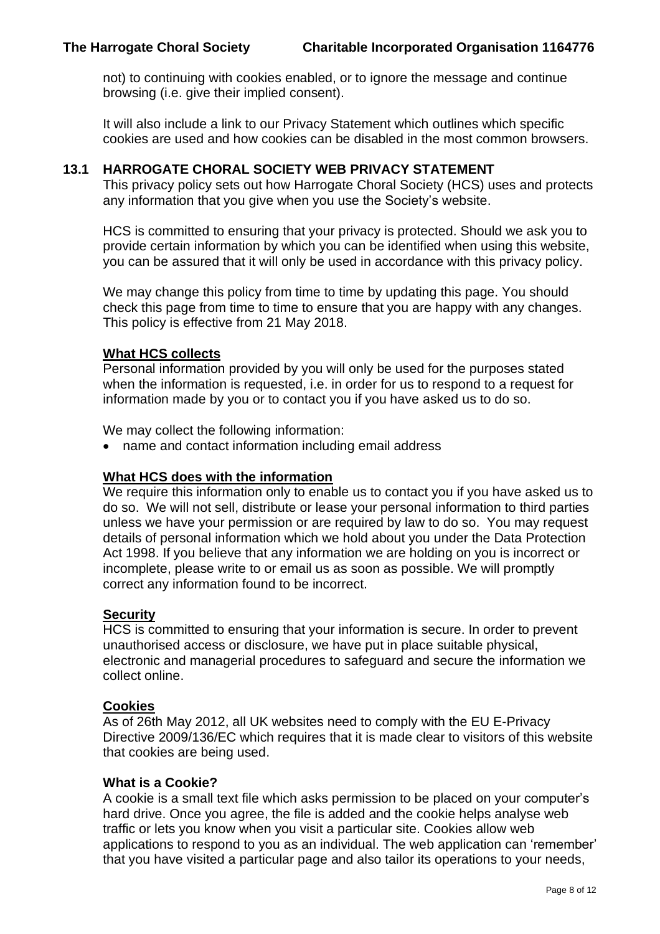not) to continuing with cookies enabled, or to ignore the message and continue browsing (i.e. give their implied consent).

It will also include a link to our Privacy Statement which outlines which specific cookies are used and how cookies can be disabled in the most common browsers.

## **13.1 HARROGATE CHORAL SOCIETY WEB PRIVACY STATEMENT**

This privacy policy sets out how Harrogate Choral Society (HCS) uses and protects any information that you give when you use the Society's website.

HCS is committed to ensuring that your privacy is protected. Should we ask you to provide certain information by which you can be identified when using this website, you can be assured that it will only be used in accordance with this privacy policy.

We may change this policy from time to time by updating this page. You should check this page from time to time to ensure that you are happy with any changes. This policy is effective from 21 May 2018.

## **What HCS collects**

Personal information provided by you will only be used for the purposes stated when the information is requested, i.e. in order for us to respond to a request for information made by you or to contact you if you have asked us to do so.

We may collect the following information:

• name and contact information including email address

## **What HCS does with the information**

We require this information only to enable us to contact you if you have asked us to do so. We will not sell, distribute or lease your personal information to third parties unless we have your permission or are required by law to do so. You may request details of personal information which we hold about you under the Data Protection Act 1998. If you believe that any information we are holding on you is incorrect or incomplete, please write to or email us as soon as possible. We will promptly correct any information found to be incorrect.

#### **Security**

HCS is committed to ensuring that your information is secure. In order to prevent unauthorised access or disclosure, we have put in place suitable physical, electronic and managerial procedures to safeguard and secure the information we collect online.

#### **Cookies**

As of 26th May 2012, all UK websites need to comply with the EU E-Privacy Directive 2009/136/EC which requires that it is made clear to visitors of this website that cookies are being used.

#### **What is a Cookie?**

A cookie is a small text file which asks permission to be placed on your computer's hard drive. Once you agree, the file is added and the cookie helps analyse web traffic or lets you know when you visit a particular site. Cookies allow web applications to respond to you as an individual. The web application can 'remember' that you have visited a particular page and also tailor its operations to your needs,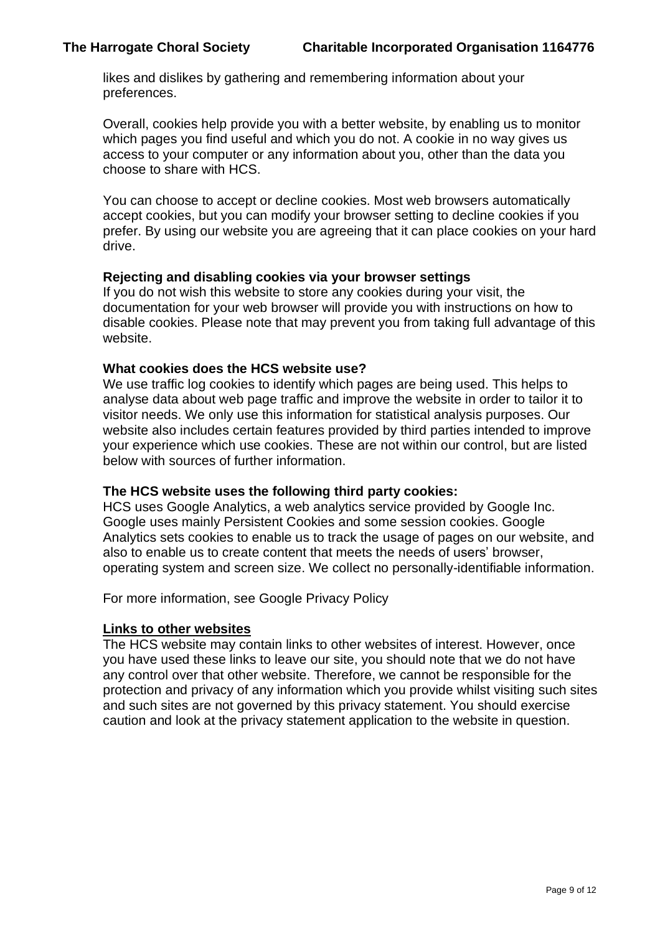likes and dislikes by gathering and remembering information about your preferences.

Overall, cookies help provide you with a better website, by enabling us to monitor which pages you find useful and which you do not. A cookie in no way gives us access to your computer or any information about you, other than the data you choose to share with HCS.

You can choose to accept or decline cookies. Most web browsers automatically accept cookies, but you can modify your browser setting to decline cookies if you prefer. By using our website you are agreeing that it can place cookies on your hard drive.

#### **Rejecting and disabling cookies via your browser settings**

If you do not wish this website to store any cookies during your visit, the documentation for your web browser will provide you with instructions on how to disable cookies. Please note that may prevent you from taking full advantage of this website.

#### **What cookies does the HCS website use?**

We use traffic log cookies to identify which pages are being used. This helps to analyse data about web page traffic and improve the website in order to tailor it to visitor needs. We only use this information for statistical analysis purposes. Our website also includes certain features provided by third parties intended to improve your experience which use cookies. These are not within our control, but are listed below with sources of further information.

#### **The HCS website uses the following third party cookies:**

HCS uses Google Analytics, a web analytics service provided by Google Inc. Google uses mainly Persistent Cookies and some session cookies. Google Analytics sets cookies to enable us to track the usage of pages on our website, and also to enable us to create content that meets the needs of users' browser, operating system and screen size. We collect no personally-identifiable information.

For more information, see Google [Privacy](http://www.google.com/intl/en/policies/privacy/) Policy

#### **Links to other websites**

The HCS website may contain links to other websites of interest. However, once you have used these links to leave our site, you should note that we do not have any control over that other website. Therefore, we cannot be responsible for the protection and privacy of any information which you provide whilst visiting such sites and such sites are not governed by this privacy statement. You should exercise caution and look at the privacy statement application to the website in question.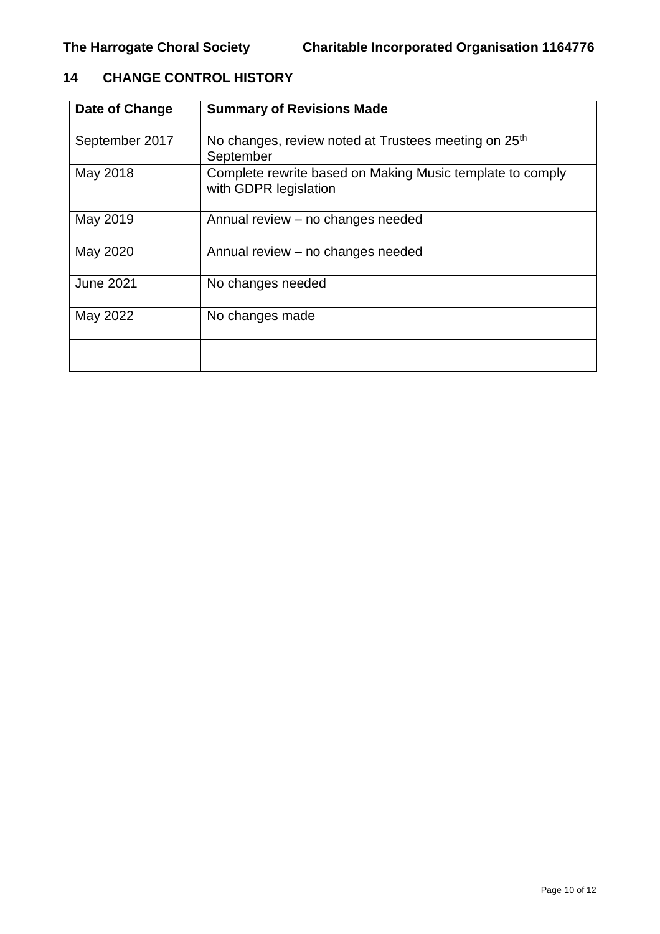# **14 CHANGE CONTROL HISTORY**

| Date of Change   | <b>Summary of Revisions Made</b>                                                   |
|------------------|------------------------------------------------------------------------------------|
| September 2017   | No changes, review noted at Trustees meeting on 25 <sup>th</sup><br>September      |
| May 2018         | Complete rewrite based on Making Music template to comply<br>with GDPR legislation |
| May 2019         | Annual review – no changes needed                                                  |
| May 2020         | Annual review – no changes needed                                                  |
| <b>June 2021</b> | No changes needed                                                                  |
| May 2022         | No changes made                                                                    |
|                  |                                                                                    |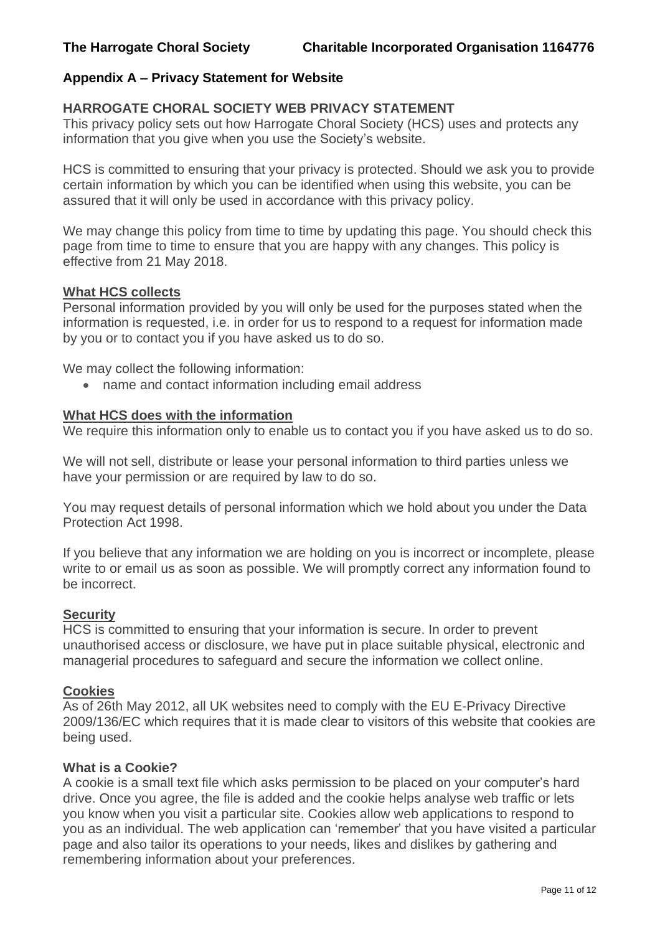## **Appendix A – Privacy Statement for Website**

#### **HARROGATE CHORAL SOCIETY WEB PRIVACY STATEMENT**

This privacy policy sets out how Harrogate Choral Society (HCS) uses and protects any information that you give when you use the Society's website.

HCS is committed to ensuring that your privacy is protected. Should we ask you to provide certain information by which you can be identified when using this website, you can be assured that it will only be used in accordance with this privacy policy.

We may change this policy from time to time by updating this page. You should check this page from time to time to ensure that you are happy with any changes. This policy is effective from 21 May 2018.

#### **What HCS collects**

Personal information provided by you will only be used for the purposes stated when the information is requested, i.e. in order for us to respond to a request for information made by you or to contact you if you have asked us to do so.

We may collect the following information:

• name and contact information including email address

#### **What HCS does with the information**

We require this information only to enable us to contact you if you have asked us to do so.

We will not sell, distribute or lease your personal information to third parties unless we have your permission or are required by law to do so.

You may request details of personal information which we hold about you under the Data Protection Act 1998.

If you believe that any information we are holding on you is incorrect or incomplete, please write to or email us as soon as possible. We will promptly correct any information found to be incorrect.

#### **Security**

HCS is committed to ensuring that your information is secure. In order to prevent unauthorised access or disclosure, we have put in place suitable physical, electronic and managerial procedures to safeguard and secure the information we collect online.

#### **Cookies**

As of 26th May 2012, all UK websites need to comply with the EU E-Privacy Directive 2009/136/EC which requires that it is made clear to visitors of this website that cookies are being used.

#### **What is a Cookie?**

A cookie is a small text file which asks permission to be placed on your computer's hard drive. Once you agree, the file is added and the cookie helps analyse web traffic or lets you know when you visit a particular site. Cookies allow web applications to respond to you as an individual. The web application can 'remember' that you have visited a particular page and also tailor its operations to your needs, likes and dislikes by gathering and remembering information about your preferences.